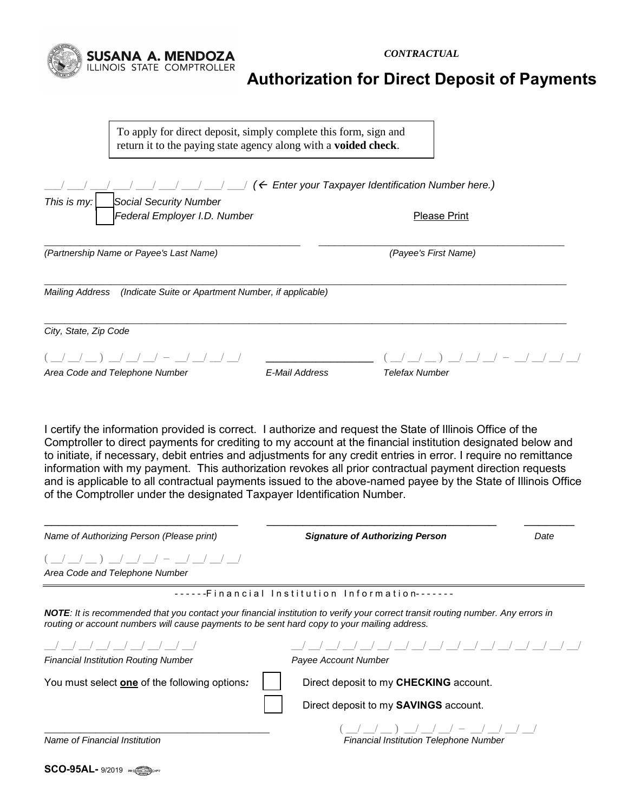*CONTRACTUAL* 



To apply for direct deposit, simply complete this form, sign and return it to the paying state agency along with a **voided check**.

**SUSANA A. MENDOZA**<br>ILLINOIS STATE COMPTROLLER

| $(\leftarrow$ Enter your Taxpayer Identification Number here.)                |                |                              |  |
|-------------------------------------------------------------------------------|----------------|------------------------------|--|
| This is $my:$<br>Social Security Number<br>Federal Employer I.D. Number       |                | <b>Please Print</b>          |  |
| (Partnership Name or Payee's Last Name)                                       |                | (Payee's First Name)         |  |
| <b>Mailing Address</b><br>(Indicate Suite or Apartment Number, if applicable) |                |                              |  |
| City, State, Zip Code                                                         |                |                              |  |
| Area Code and Telephone Number                                                | E-Mail Address | $-$<br><b>Telefax Number</b> |  |

I certify the information provided is correct. I authorize and request the State of Illinois Office of the Comptroller to direct payments for crediting to my account at the financial institution designated below and to initiate, if necessary, debit entries and adjustments for any credit entries in error. I require no remittance information with my payment. This authorization revokes all prior contractual payment direction requests and is applicable to all contractual payments issued to the above-named payee by the State of Illinois Office of the Comptroller under the designated Taxpayer Identification Number.

| Name of Authorizing Person (Please print)                                                    | <b>Signature of Authorizing Person</b>                                                                                                   | Date |
|----------------------------------------------------------------------------------------------|------------------------------------------------------------------------------------------------------------------------------------------|------|
| $( )$ $/$ $/$ $/$ $/$ $ /$ $/$ $/$ $/$<br>Area Code and Telephone Number                     |                                                                                                                                          |      |
|                                                                                              | ------Financial Institution Information-------                                                                                           |      |
| routing or account numbers will cause payments to be sent hard copy to your mailing address. | <b>NOTE</b> : It is recommended that you contact your financial institution to verify your correct transit routing number. Any errors in |      |
| <b>Financial Institution Routing Number</b>                                                  | Payee Account Number                                                                                                                     |      |
| You must select one of the following options:                                                | Direct deposit to my CHECKING account.                                                                                                   |      |
|                                                                                              | Direct deposit to my <b>SAVINGS</b> account.                                                                                             |      |
| Name of Financial Institution                                                                | $\left( \begin{array}{cccc} \end{array} \right)$<br>Financial Institution Telephone Number                                               |      |

**SCO-95AL-** 9/2019  $\sqrt{2}$